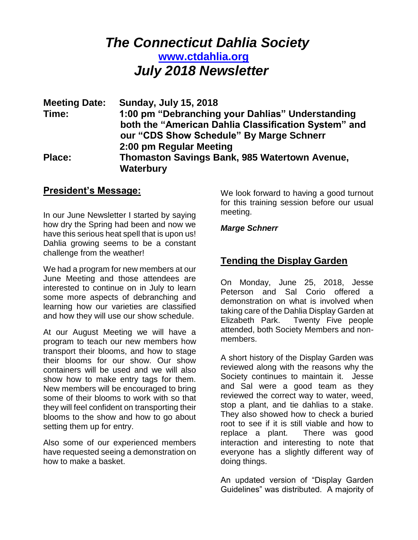# *The Connecticut Dahlia Society* **[www.ctdahlia.org](http://www.ctdahlia.org/)**  *July 2018 Newsletter*

| <b>Meeting Date:</b> | <b>Sunday, July 15, 2018</b>                         |
|----------------------|------------------------------------------------------|
| Time:                | 1:00 pm "Debranching your Dahlias" Understanding     |
|                      | both the "American Dahlia Classification System" and |
|                      | our "CDS Show Schedule" By Marge Schnerr             |
|                      | 2:00 pm Regular Meeting                              |
| <b>Place:</b>        | <b>Thomaston Savings Bank, 985 Watertown Avenue,</b> |
|                      | Waterbury                                            |

### **President's Message:**

In our June Newsletter I started by saying how dry the Spring had been and now we have this serious heat spell that is upon us! Dahlia growing seems to be a constant challenge from the weather!

We had a program for new members at our June Meeting and those attendees are interested to continue on in July to learn some more aspects of debranching and learning how our varieties are classified and how they will use our show schedule.

At our August Meeting we will have a program to teach our new members how transport their blooms, and how to stage their blooms for our show. Our show containers will be used and we will also show how to make entry tags for them. New members will be encouraged to bring some of their blooms to work with so that they will feel confident on transporting their blooms to the show and how to go about setting them up for entry.

Also some of our experienced members have requested seeing a demonstration on how to make a basket.

We look forward to having a good turnout for this training session before our usual meeting.

#### *Marge Schnerr*

# **Tending the Display Garden**

On Monday, June 25, 2018, Jesse Peterson and Sal Corio offered a demonstration on what is involved when taking care of the Dahlia Display Garden at Elizabeth Park. Twenty Five people attended, both Society Members and nonmembers.

A short history of the Display Garden was reviewed along with the reasons why the Society continues to maintain it. Jesse and Sal were a good team as they reviewed the correct way to water, weed, stop a plant, and tie dahlias to a stake. They also showed how to check a buried root to see if it is still viable and how to replace a plant. There was good interaction and interesting to note that everyone has a slightly different way of doing things.

An updated version of "Display Garden Guidelines" was distributed. A majority of